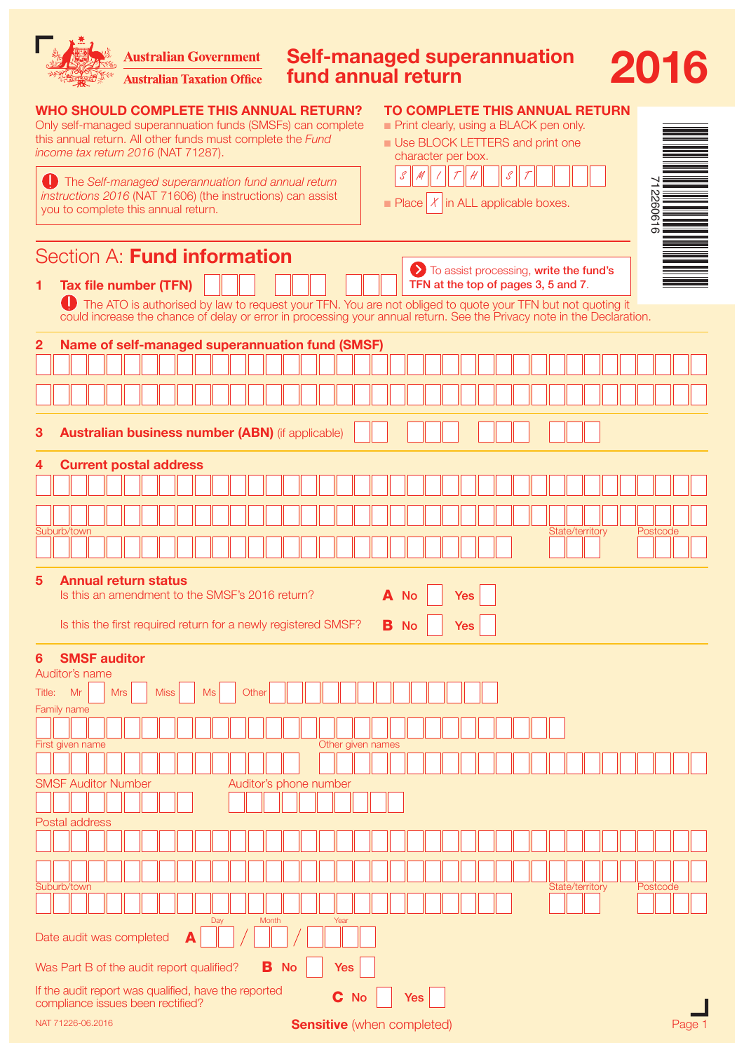|  | Australian Government Self-managed superannuation    |
|--|------------------------------------------------------|
|  | <b>Australian Taxation Office fund annual return</b> |

WHO SHOULD COMPLETE THIS ANNUAL RETURN? Only self-managed superannuation funds (SMSFs) can complete this annual return. All other funds must complete the *Fund* 

| income tax return 2016 (NAT 71287).                                                                                                                                                                     | character per box.                                                    |
|---------------------------------------------------------------------------------------------------------------------------------------------------------------------------------------------------------|-----------------------------------------------------------------------|
| The Self-managed superannuation fund annual return<br>instructions 2016 (NAT 71606) (the instructions) can assist<br>you to complete this annual return.                                                | S<br>Place $X$ in ALL applicable boxes.                               |
| Section A: Fund information<br>Tax file number (TFN)<br>1                                                                                                                                               | > To assist processing, write the<br>TFN at the top of pages 3, 5 and |
| The ATO is authorised by law to request your TFN. You are not obliged to quote your TFN but no<br>could increase the chance of delay or error in processing your annual return. See the Privacy note in |                                                                       |
| Name of self-managed superannuation fund (SMSF)<br>$\mathbf{2}$                                                                                                                                         |                                                                       |
|                                                                                                                                                                                                         |                                                                       |

### TO COMPLETE THIS ANNUAL RETURN

| Print clearly, using a BLACK pen only. |  |
|----------------------------------------|--|
|----------------------------------------|--|

**n** Use BLOCK LETTERS and print one



**2016** 

| To assist processing, write the fund's<br>TFN at the top of pages 3, 5 and 7.<br><b>Tax file number (TFN)</b><br>1                                                                                                             |  |
|--------------------------------------------------------------------------------------------------------------------------------------------------------------------------------------------------------------------------------|--|
| The ATO is authorised by law to request your TFN. You are not obliged to quote your TFN but not quoting it could increase the chance of delay or error in processing your annual return. See the Privacy note in the Declarati |  |
|                                                                                                                                                                                                                                |  |
| Name of self-managed superannuation fund (SMSF)<br>$\mathbf{2}$                                                                                                                                                                |  |
|                                                                                                                                                                                                                                |  |
|                                                                                                                                                                                                                                |  |
|                                                                                                                                                                                                                                |  |
| <b>Australian business number (ABN)</b> (if applicable)<br>3                                                                                                                                                                   |  |
| <b>Current postal address</b><br>4                                                                                                                                                                                             |  |
|                                                                                                                                                                                                                                |  |
|                                                                                                                                                                                                                                |  |
| State/territory<br>Suburb/town<br>Postcode                                                                                                                                                                                     |  |
|                                                                                                                                                                                                                                |  |
| <b>Annual return status</b><br>$\sqrt{5}$                                                                                                                                                                                      |  |
| Is this an amendment to the SMSF's 2016 return?<br>A No<br><b>Yes</b>                                                                                                                                                          |  |
| Is this the first required return for a newly registered SMSF?<br><b>B</b> No<br><b>Yes</b>                                                                                                                                    |  |
| <b>SMSF auditor</b><br>6                                                                                                                                                                                                       |  |
| Auditor's name                                                                                                                                                                                                                 |  |
| Mr<br><b>Mrs</b><br><b>Miss</b><br><b>Ms</b><br>Title:<br>Other                                                                                                                                                                |  |
|                                                                                                                                                                                                                                |  |
| Family name                                                                                                                                                                                                                    |  |
| First given name                                                                                                                                                                                                               |  |
| Other given names                                                                                                                                                                                                              |  |
| <b>SMSF Auditor Number</b><br>Auditor's phone number                                                                                                                                                                           |  |
|                                                                                                                                                                                                                                |  |
| Postal address                                                                                                                                                                                                                 |  |
|                                                                                                                                                                                                                                |  |
|                                                                                                                                                                                                                                |  |
| Suburb/town<br><b>State/territory</b><br>Postcode                                                                                                                                                                              |  |
| Day<br>Month<br>Year                                                                                                                                                                                                           |  |
| Date audit was completed<br>A                                                                                                                                                                                                  |  |
| Was Part B of the audit report qualified?<br>в<br><b>No</b><br><b>Yes</b>                                                                                                                                                      |  |
| If the audit report was qualified, have the reported<br>C No<br>Yes<br>compliance issues been rectified?                                                                                                                       |  |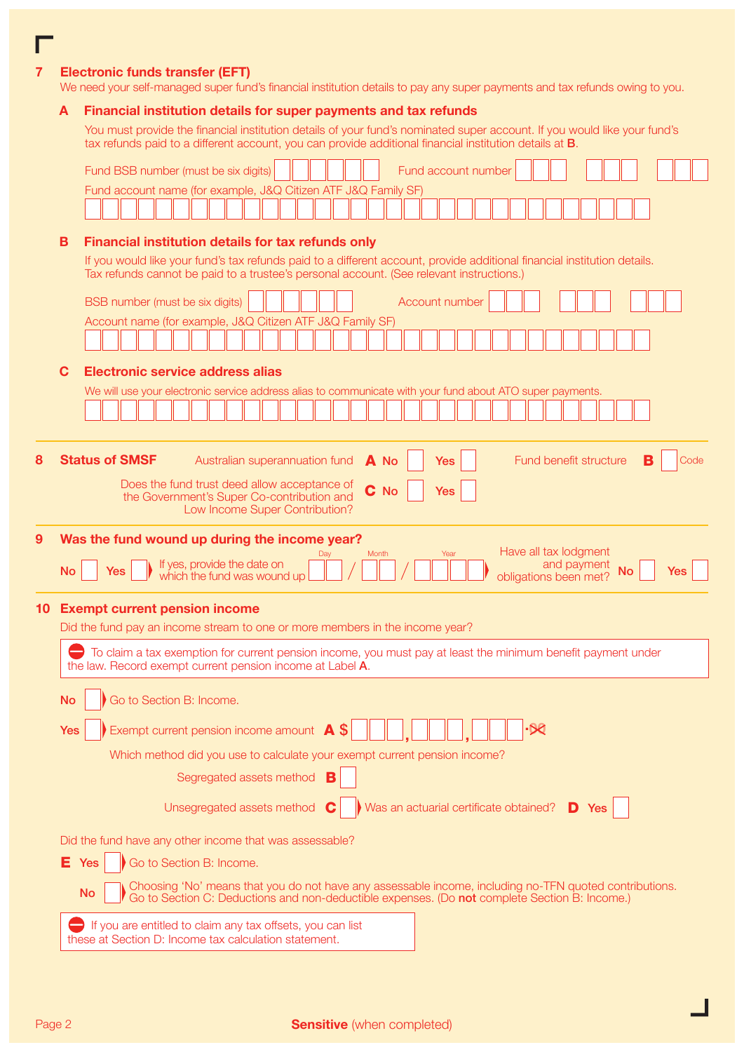### 7 Electronic funds transfer (EFT)

We need your self-managed super fund's financial institution details to pay any super payments and tax refunds owing to you.

### A Financial institution details for super payments and tax refunds

You must provide the financial institution details of your fund's nominated super account. If you would like your fund's tax refunds paid to a different account, you can provide additional financial institution details at B.

|    |           | Fund account number<br>Fund BSB number (must be six digits)                                                                                                                                                          |
|----|-----------|----------------------------------------------------------------------------------------------------------------------------------------------------------------------------------------------------------------------|
|    |           | Fund account name (for example, J&Q Citizen ATF J&Q Family SF)                                                                                                                                                       |
|    |           |                                                                                                                                                                                                                      |
|    | в         | Financial institution details for tax refunds only                                                                                                                                                                   |
|    |           | If you would like your fund's tax refunds paid to a different account, provide additional financial institution details.                                                                                             |
|    |           | Tax refunds cannot be paid to a trustee's personal account. (See relevant instructions.)                                                                                                                             |
|    |           | BSB number (must be six digits)<br>Account number                                                                                                                                                                    |
|    |           | Account name (for example, J&Q Citizen ATF J&Q Family SF)                                                                                                                                                            |
|    |           |                                                                                                                                                                                                                      |
|    | C         | Electronic service address alias                                                                                                                                                                                     |
|    |           | We will use your electronic service address alias to communicate with your fund about ATO super payments.                                                                                                            |
|    |           |                                                                                                                                                                                                                      |
|    |           |                                                                                                                                                                                                                      |
| 8  |           | <b>Status of SMSF</b><br>Fund benefit structure<br>Australian superannuation fund<br>A No<br>в<br>Yes<br>Code                                                                                                        |
|    |           | Does the fund trust deed allow acceptance of<br>C No<br>Yes<br>the Government's Super Co-contribution and                                                                                                            |
|    |           | Low Income Super Contribution?                                                                                                                                                                                       |
| 9  |           | Was the fund wound up during the income year?                                                                                                                                                                        |
|    |           | Have all tax lodgment<br>Month<br>Year<br>If yes, provide the date on<br>which the fund was wound up<br>and payment<br><b>Yes</b>                                                                                    |
|    | <b>No</b> | <b>No</b><br><b>Yes</b><br>obligations been met?                                                                                                                                                                     |
| 10 |           | <b>Exempt current pension income</b>                                                                                                                                                                                 |
|    |           | Did the fund pay an income stream to one or more members in the income year?                                                                                                                                         |
|    |           | To claim a tax exemption for current pension income, you must pay at least the minimum benefit payment under<br>the law. Record exempt current pension income at Label A.                                            |
|    |           |                                                                                                                                                                                                                      |
|    | No        | Go to Section B: Income.                                                                                                                                                                                             |
|    | Yes       | Exempt current pension income amount $\overline{A}$ \$                                                                                                                                                               |
|    |           | Which method did you use to calculate your exempt current pension income?                                                                                                                                            |
|    |           | Segregated assets method                                                                                                                                                                                             |
|    |           | Was an actuarial certificate obtained?<br>Unsegregated assets method<br>D Yes<br>C                                                                                                                                   |
|    |           |                                                                                                                                                                                                                      |
|    |           | Did the fund have any other income that was assessable?                                                                                                                                                              |
|    | Е.        | Go to Section B: Income.<br>Yes                                                                                                                                                                                      |
|    |           | Choosing 'No' means that you do not have any assessable income, including no-TFN quoted contributions.<br><b>No</b><br>Go to Section C: Deductions and non-deductible expenses. (Do not complete Section B: Income.) |
|    |           | If you are entitled to claim any tax offsets, you can list                                                                                                                                                           |
|    |           | these at Section D: Income tax calculation statement.                                                                                                                                                                |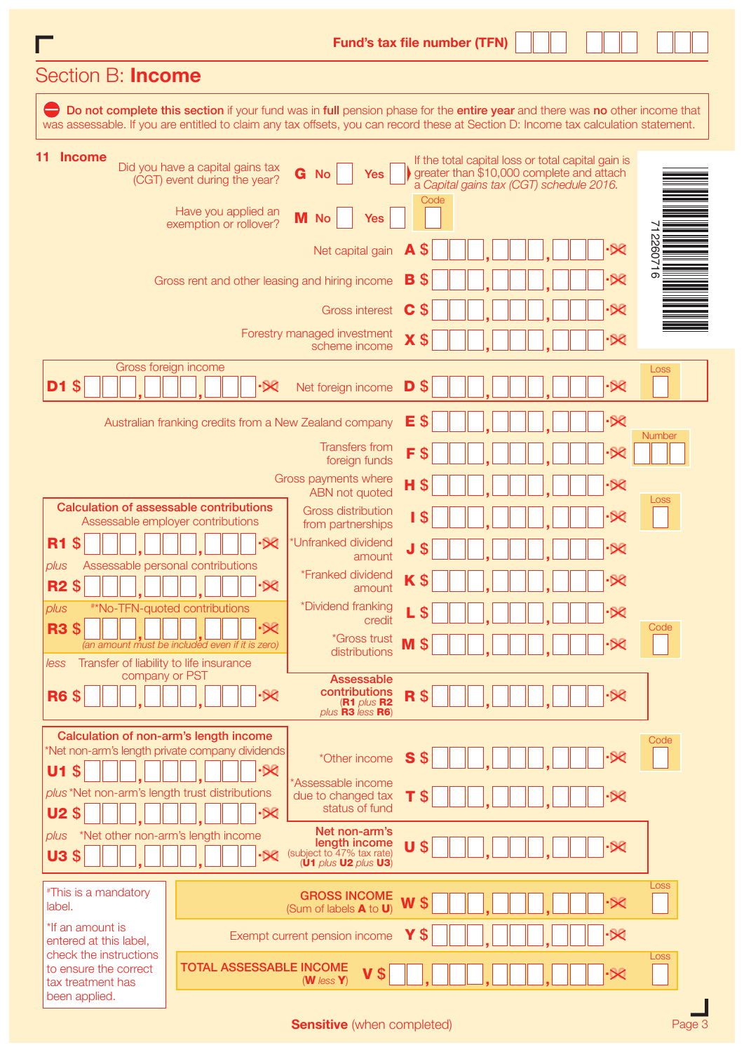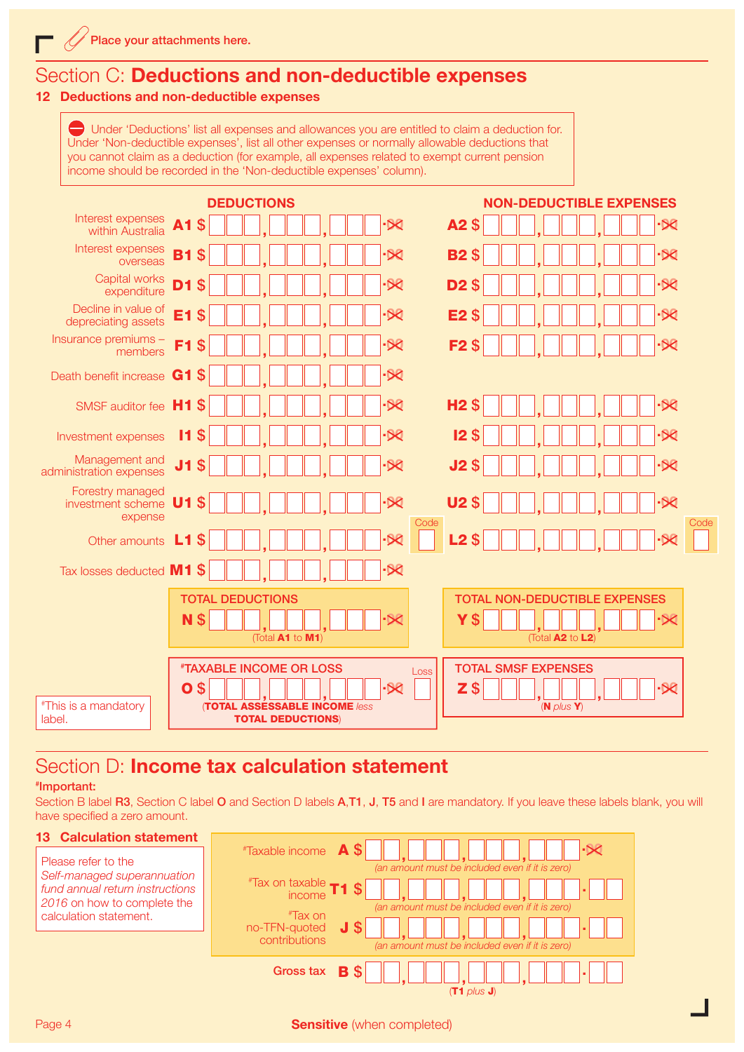## Section C: Deductions and non-deductible expenses

### 12 Deductions and non-deductible expenses

Under 'Deductions' list all expenses and allowances you are entitled to claim a deduction for. Under 'Non-deductible expenses', list all other expenses or normally allowable deductions that you cannot claim as a deduction (for example, all expenses related to exempt current pension income should be recorded in the 'Non-deductible expenses' column).

|                                                  |                      | <b>DEDUCTIONS</b>                              | <b>NON-DEDUCTIBLE EXPENSES</b>                   |
|--------------------------------------------------|----------------------|------------------------------------------------|--------------------------------------------------|
| Interest expenses<br>within Australia            | <b>A1</b><br>\$      | $-80$                                          | A2\$<br>$-80$                                    |
| Interest expenses<br>overseas                    | <b>B1</b><br>\$      | $\cdot$ $\otimes$                              | $\cdot$ $\otimes$<br><b>B2\$</b>                 |
| Capital works<br>expenditure                     | D1<br>\$             | .X                                             | $\overline{\mathcal{R}}$<br><b>D2\$</b>          |
| Decline in value of<br>depreciating assets       | E1<br>\$             | $\overline{\mathcal{X}}$                       | E <sub>2</sub> \$<br>$\overline{\mathsf{X}}$     |
| Insurance premiums -<br>members                  | F <sub>1</sub><br>S  | $\overline{\mathcal{R}}$                       | $\overline{\mathcal{R}}$<br>F <sub>2</sub><br>\$ |
| Death benefit increase                           | G <sub>1</sub><br>\$ | $\cdot$ $\otimes$                              |                                                  |
| SMSF auditor fee H1                              | \$                   | $\cdot$ $\otimes$                              | <b>H2\$</b><br>$-80$                             |
| Investment expenses                              | S<br>11              |                                                | $\overline{\mathcal{X}}$<br>12 <sub>3</sub>      |
| Management and<br>administration expenses        | J <sub>1</sub><br>\$ | $-80$                                          | $-58$<br>J2 <sub>5</sub>                         |
| Forestry managed<br>investment scheme<br>expense | \$<br>U <sub>1</sub> | $-80$                                          | $-50$<br><b>U2\$</b><br>Code<br>Code             |
| Other amounts                                    | L1<br>\$             | $-80$                                          | L2 <sub>3</sub><br>$-80$                         |
| Tax losses deducted M1 \$                        |                      | $-80$                                          |                                                  |
|                                                  |                      | <b>TOTAL DEDUCTIONS</b>                        | <b>TOTAL NON-DEDUCTIBLE EXPENSES</b>             |
|                                                  | N<br>\$              | $\cdot \Join$<br>(Total A1 to M1)              | Y\$<br>·×<br>(Total A2 to L2)                    |
|                                                  |                      |                                                |                                                  |
|                                                  |                      | <b><i><i>"TAXABLE INCOME OR LOSS</i></i></b>   | <b>TOTAL SMSF EXPENSES</b><br>Loss               |
| <i><b>"This is a mandatory</b></i>               | \$<br>O              | $-80$<br><b>(TOTAL ASSESSABLE INCOME /ess)</b> | $Z$ \$<br>$\cdot$ 80<br>$(N$ plus $Y)$           |
| label.                                           |                      | <b>TOTAL DEDUCTIONS)</b>                       |                                                  |

# Section D: **Income tax calculation statement**

### # Important:

Section B label R3, Section C label O and Section D labels A,T1, J, T5 and I are mandatory. If you leave these labels blank, you will have specified a zero amount.

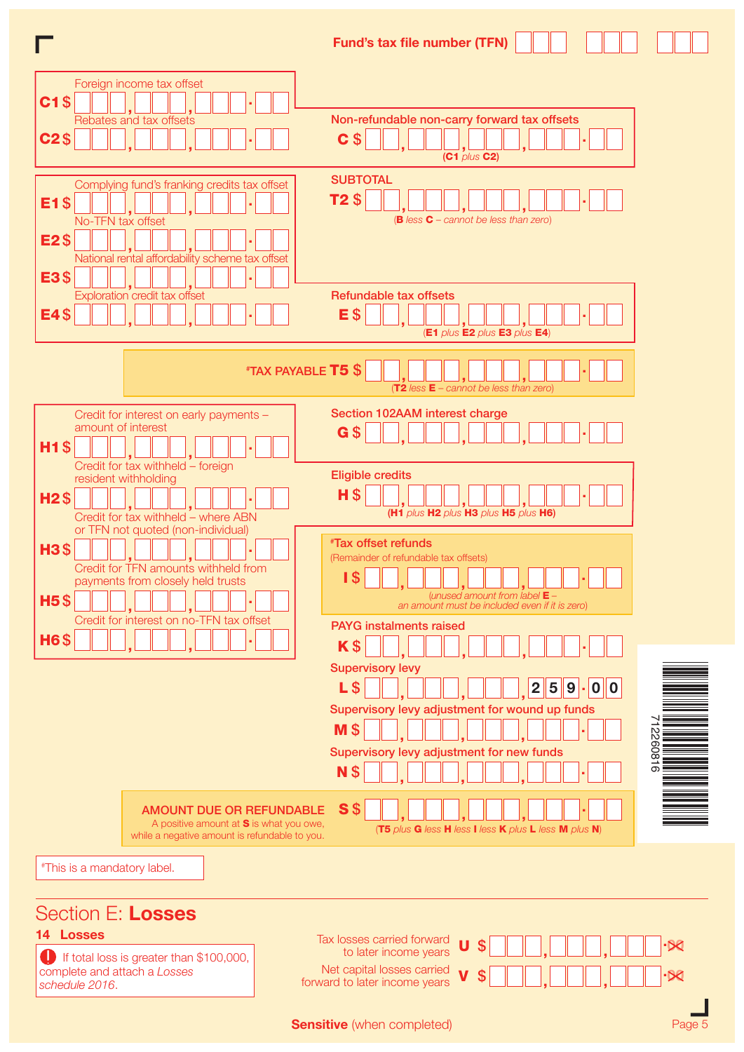

complete and attach a *Losses*  schedule 2016.

Net capital losses carried  $\mathsf{v} \mathsf{s}$   $\square \square$ ,  $\square \square$ ,  $\square \square \square \cdot \mathsf{R}$ 

**Sensitive** (when completed)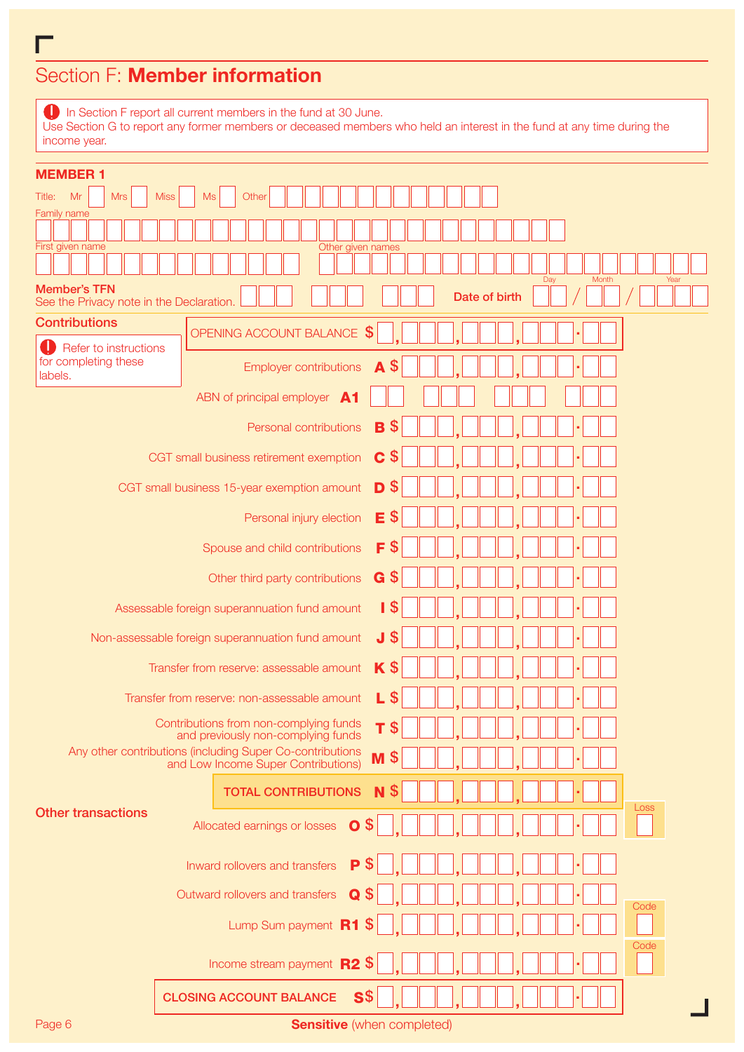# Section F: Member information

г

**In Section F report all current members in the fund at 30 June.** Use Section G to report any former members or deceased members who held an interest in the fund at any time during the income year.

| <b>MEMBER 1</b>                                                 |                                                                                                             |
|-----------------------------------------------------------------|-------------------------------------------------------------------------------------------------------------|
| <b>Mrs</b><br>Title:<br>Mr                                      | <b>Miss</b><br>Other<br>Ms                                                                                  |
| <b>Family name</b><br>First given name                          | Other given names                                                                                           |
|                                                                 | Month<br>Day<br>Year                                                                                        |
| <b>Member's TFN</b><br>See the Privacy note in the Declaration. | Date of birth                                                                                               |
| <b>Contributions</b>                                            | OPENING ACCOUNT BALANCE \$                                                                                  |
| Refer to instructions<br>for completing these                   | \$<br><b>Employer contributions</b><br>A                                                                    |
| labels.                                                         | ABN of principal employer A1                                                                                |
|                                                                 | \$<br>B<br>Personal contributions                                                                           |
|                                                                 |                                                                                                             |
|                                                                 | C<br>\$<br>CGT small business retirement exemption                                                          |
|                                                                 | $\mathbb{S}$<br>D<br>CGT small business 15-year exemption amount                                            |
|                                                                 | $\mathbf{\$}$<br>Е<br>Personal injury election                                                              |
|                                                                 | F<br>\$<br>Spouse and child contributions                                                                   |
|                                                                 | $G$ \$<br>Other third party contributions                                                                   |
|                                                                 | I \$<br>Assessable foreign superannuation fund amount                                                       |
|                                                                 | $\boldsymbol{\mathsf{S}}$<br>J<br>Non-assessable foreign superannuation fund amount                         |
|                                                                 | $K$ \$<br>Transfer from reserve: assessable amount                                                          |
|                                                                 | \$<br>L<br>Transfer from reserve: non-assessable amount                                                     |
|                                                                 | Contributions from non-complying funds<br>\$<br>т<br>and previously non-complying funds                     |
|                                                                 | Any other contributions (including Super Co-contributions<br>M<br>\$<br>and Low Income Super Contributions) |
|                                                                 | <b>TOTAL CONTRIBUTIONS</b><br><b>S</b><br>N                                                                 |
| <b>Other transactions</b>                                       | Loss                                                                                                        |
|                                                                 | $\overline{O}$ \$<br>Allocated earnings or losses                                                           |
|                                                                 | P<br>Inward rollovers and transfers                                                                         |
|                                                                 | Outward rollovers and transfers<br>Q<br>Code                                                                |
|                                                                 | Lump Sum payment R1                                                                                         |
|                                                                 | Code<br>Income stream payment R2 \$                                                                         |
|                                                                 | $\textsf{S}$ \$<br><b>CLOSING ACCOUNT BALANCE</b>                                                           |
| Page 6                                                          | <b>Sensitive</b> (when completed)                                                                           |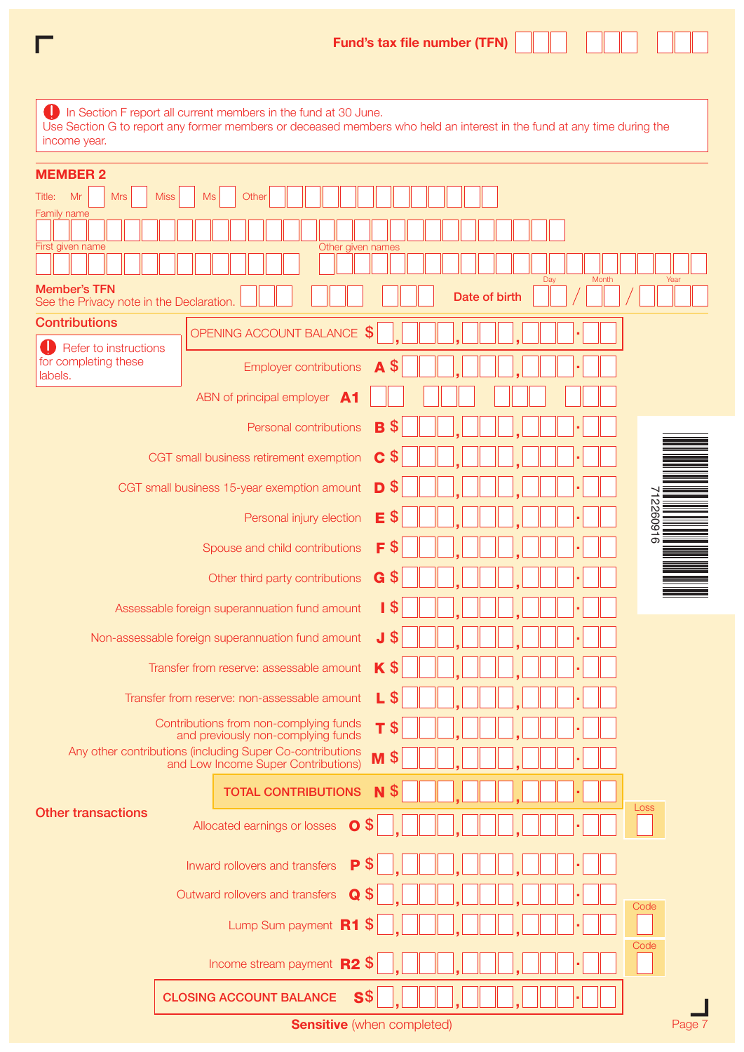| income year.                                                                | In Section F report all current members in the fund at 30 June.<br>Use Section G to report any former members or deceased members who held an interest in the fund at any time during the |
|-----------------------------------------------------------------------------|-------------------------------------------------------------------------------------------------------------------------------------------------------------------------------------------|
| <b>MEMBER 2</b><br>Mr<br>Title:<br><b>Mrs</b><br><b>Miss</b><br>Family name | <b>Ms</b><br>Other                                                                                                                                                                        |
| First given name                                                            | Other given names                                                                                                                                                                         |
| <b>Member's TFN</b>                                                         | Month<br>Day<br>Year<br>Date of birth                                                                                                                                                     |
| See the Privacy note in the Declaration.<br><b>Contributions</b>            |                                                                                                                                                                                           |
| Refer to instructions<br>for completing these                               | OPENING ACCOUNT BALANCE \$<br>\$<br>A<br><b>Employer contributions</b>                                                                                                                    |
| labels.                                                                     | ABN of principal employer A1                                                                                                                                                              |
|                                                                             | S<br>B<br>Personal contributions                                                                                                                                                          |
|                                                                             | S<br>C<br>CGT small business retirement exemption                                                                                                                                         |
|                                                                             | \$<br>D<br>CGT small business 15-year exemption amount                                                                                                                                    |
|                                                                             | 9160922<br>E<br>Personal injury election                                                                                                                                                  |
|                                                                             | \$<br>F<br>Spouse and child contributions                                                                                                                                                 |
|                                                                             | \$<br>G<br>Other third party contributions                                                                                                                                                |
|                                                                             | S<br>Assessable foreign superannuation fund amount<br>п                                                                                                                                   |
|                                                                             | \$<br>J<br>Non-assessable foreign superannuation fund amount                                                                                                                              |
|                                                                             | $K$ \$<br>Transfer from reserve: assessable amount                                                                                                                                        |
|                                                                             | L \$<br>Transfer from reserve: non-assessable amount                                                                                                                                      |
|                                                                             | Contributions from non-complying funds<br>$T$ \$<br>and previously non-complying funds                                                                                                    |
|                                                                             | Any other contributions (including Super Co-contributions<br>$M$ \$<br>and Low Income Super Contributions)                                                                                |
|                                                                             | <b>N</b> \$<br><b>TOTAL CONTRIBUTIONS</b>                                                                                                                                                 |
| <b>Other transactions</b>                                                   | Loss<br>$\mathbb{S}$<br>Allocated earnings or losses<br>$\mathbf{o}$                                                                                                                      |
|                                                                             | P<br>Inward rollovers and transfers                                                                                                                                                       |
|                                                                             | Outward rollovers and transfers<br><b>S</b><br>Q<br>Code                                                                                                                                  |
|                                                                             | Lump Sum payment R1<br>-S                                                                                                                                                                 |
|                                                                             | Code<br>Income stream payment <b>R2 \$</b>                                                                                                                                                |

CLOSING ACCOUNT BALANCE S\$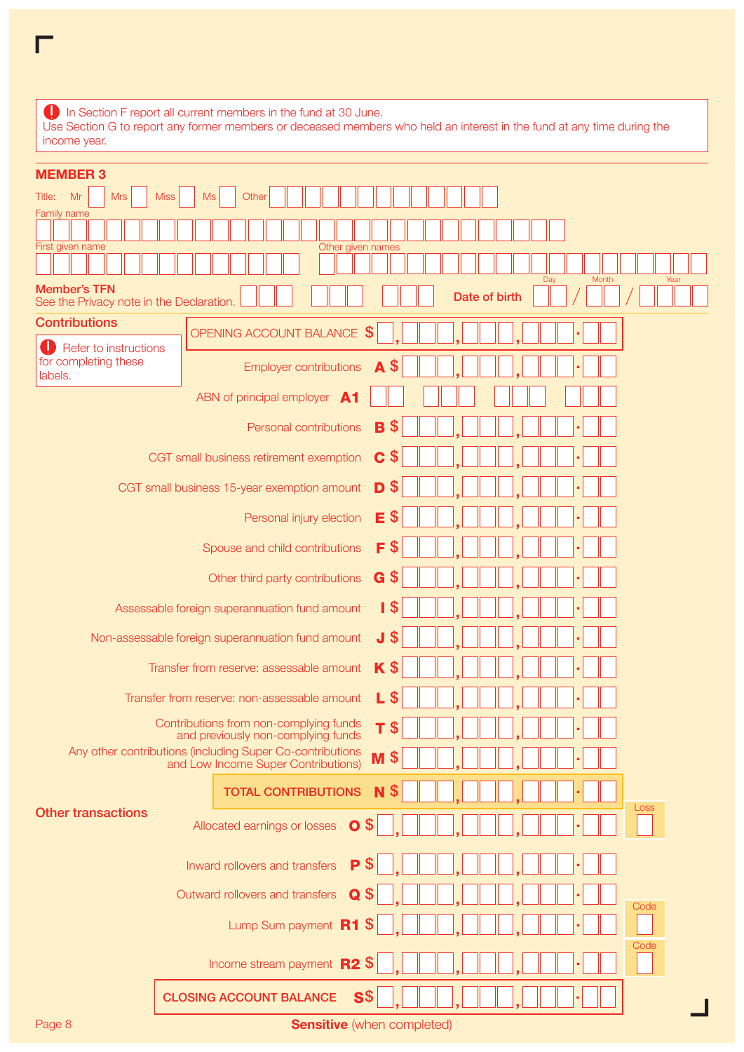| income year.                                                    | In Section F report all current members in the fund at 30 June.<br>Use Section G to report any former members or deceased members who held an interest in the fund at any time during the |
|-----------------------------------------------------------------|-------------------------------------------------------------------------------------------------------------------------------------------------------------------------------------------|
| <b>MEMBER 3</b>                                                 |                                                                                                                                                                                           |
| Title:<br><b>Miss</b><br>Mr<br><b>Mrs</b>                       | Other<br>Ms                                                                                                                                                                               |
| Family name                                                     |                                                                                                                                                                                           |
| First given name                                                | Other given names                                                                                                                                                                         |
|                                                                 |                                                                                                                                                                                           |
| <b>Member's TFN</b><br>See the Privacy note in the Declaration. | Month<br>Dav<br>Year<br>Date of birth                                                                                                                                                     |
| <b>Contributions</b>                                            | OPENING ACCOUNT BALANCE \$                                                                                                                                                                |
| Refer to instructions                                           |                                                                                                                                                                                           |
| for completing these<br>labels.                                 | $\mathfrak{s}$<br>A<br><b>Employer contributions</b>                                                                                                                                      |
|                                                                 | ABN of principal employer A1                                                                                                                                                              |
|                                                                 | <b>S</b><br>B<br>Personal contributions                                                                                                                                                   |
|                                                                 | $\mathbb{S}$<br>C<br>CGT small business retirement exemption                                                                                                                              |
|                                                                 | $\boldsymbol{\mathsf{S}}$<br>D<br>CGT small business 15-year exemption amount                                                                                                             |

Personal injury election  $E$  \$

Any other contributions (including Super Co-contributions)  $\blacksquare \blacktriangleright \blacksquare \blacksquare \blacksquare, \square \square \blacksquare, \square \square \blacksquare \blacksquare \blacksquare \blacksquare$ 

TOTAL CONTRIBUTIONS **N** \$

Spouse and child contributions  $\mathsf{F}$  \$

Other third party contributions  $\mathbf{G}$  \$

Assessable foreign superannuation fund amount  $\parallel$  \$

Transfer from reserve: assessable amount  $\mathbf K$  \$

Contributions from non-complying funds **T** \$

Outward rollovers and transfers  $\alpha$  \$

CLOSING ACCOUNT BALANCE S\$

Inward rollovers and transfers  $\mathsf{P}$  \$

Allocated earnings or losses  $\circ$  \$

Lump Sum payment R1 \$

Income stream payment  $R2$  \$

Transfer from reserve: non-assessable amount  $L$  \$

Non-assessable foreign superannuation fund amount  $\mathbf J$  \$

| Page 8 | <b>Sensitive</b> (when completed) |
|--------|-----------------------------------|
|--------|-----------------------------------|

**Code** 

**Code** 

Loss

Other transactions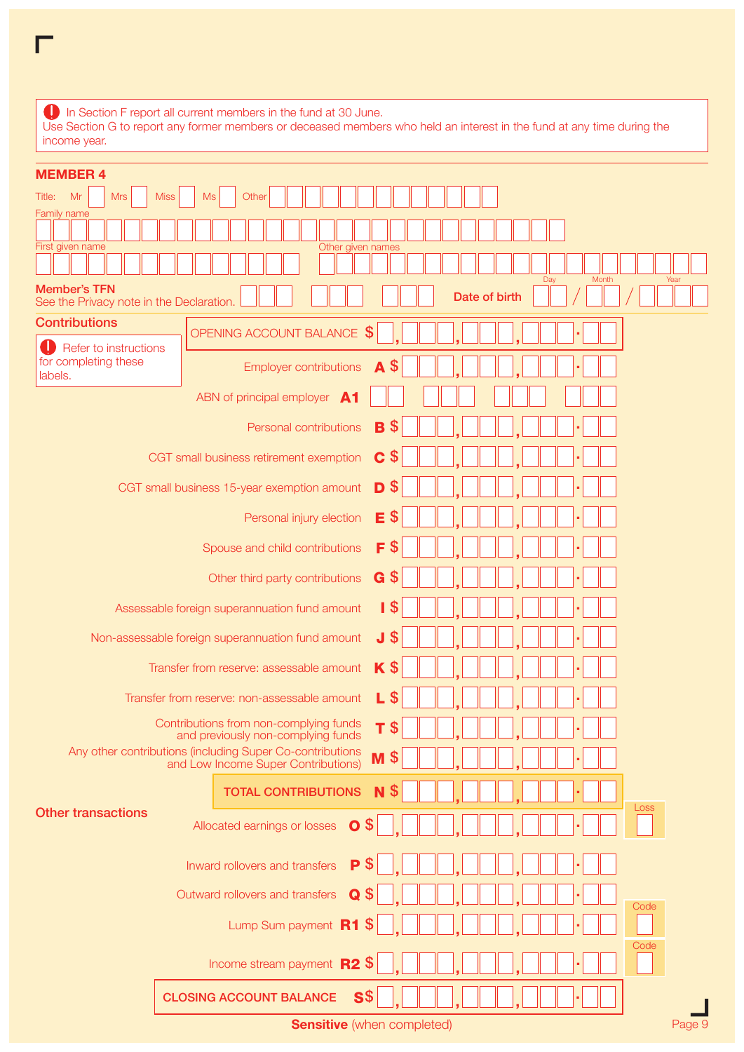| $\Box$ In Section F report all current members in the fund at 30 June.<br>Use Section G to report any former members or deceased members who held an interest in the fund at any time during the |
|--------------------------------------------------------------------------------------------------------------------------------------------------------------------------------------------------|
| income year.                                                                                                                                                                                     |
| <b>MEMBER 4</b>                                                                                                                                                                                  |

 $\overline{\Gamma}$ 

| <b>NEMBER 4</b>                                                 |                                                                                                             |
|-----------------------------------------------------------------|-------------------------------------------------------------------------------------------------------------|
| Mr<br><b>Mrs</b><br>Title:<br>Family name                       | <b>Miss</b><br><b>Ms</b><br>Other                                                                           |
|                                                                 |                                                                                                             |
| First given name                                                | Other given names                                                                                           |
| <b>Member's TFN</b><br>See the Privacy note in the Declaration. | Day<br>Month<br>Year<br>Date of birth                                                                       |
| <b>Contributions</b>                                            | OPENING ACCOUNT BALANCE                                                                                     |
| Refer to instructions<br>for completing these                   | $\mathfrak{F}$<br>\$<br><b>Employer contributions</b><br>A                                                  |
| labels.                                                         | ABN of principal employer A1                                                                                |
|                                                                 | SS.<br>Personal contributions<br>в                                                                          |
|                                                                 |                                                                                                             |
|                                                                 | C<br>\$<br>CGT small business retirement exemption                                                          |
|                                                                 | D<br>\$<br>CGT small business 15-year exemption amount                                                      |
|                                                                 | Е<br>\$<br>Personal injury election                                                                         |
|                                                                 | F<br>\$<br>Spouse and child contributions                                                                   |
|                                                                 | G<br>\$<br>Other third party contributions                                                                  |
|                                                                 | Assessable foreign superannuation fund amount<br>I \$                                                       |
|                                                                 | J \$<br>Non-assessable foreign superannuation fund amount                                                   |
|                                                                 | $K$ \$<br>Transfer from reserve: assessable amount                                                          |
|                                                                 | L<br><b>S</b><br>Transfer from reserve: non-assessable amount                                               |
|                                                                 | Contributions from non-complying funds<br>\$<br>т<br>and previously non-complying funds                     |
|                                                                 | Any other contributions (including Super Co-contributions<br>\$<br>M<br>and Low Income Super Contributions) |
|                                                                 | \$<br><b>TOTAL CONTRIBUTIONS</b><br>N                                                                       |
| <b>Other transactions</b>                                       | Loss<br>$\overline{0}$<br>Allocated earnings or losses                                                      |
|                                                                 | P<br>Inward rollovers and transfers                                                                         |
|                                                                 | Outward rollovers and transfers<br>Q<br>Code                                                                |
|                                                                 | Lump Sum payment R1<br>- \$                                                                                 |
|                                                                 | Code<br>$\mathcal{S}$<br>Income stream payment R2                                                           |
|                                                                 | <b>CLOSING ACCOUNT BALANCE</b><br>S <sub>3</sub>                                                            |
|                                                                 | Page 9<br><b>Sensitive</b> (when completed)                                                                 |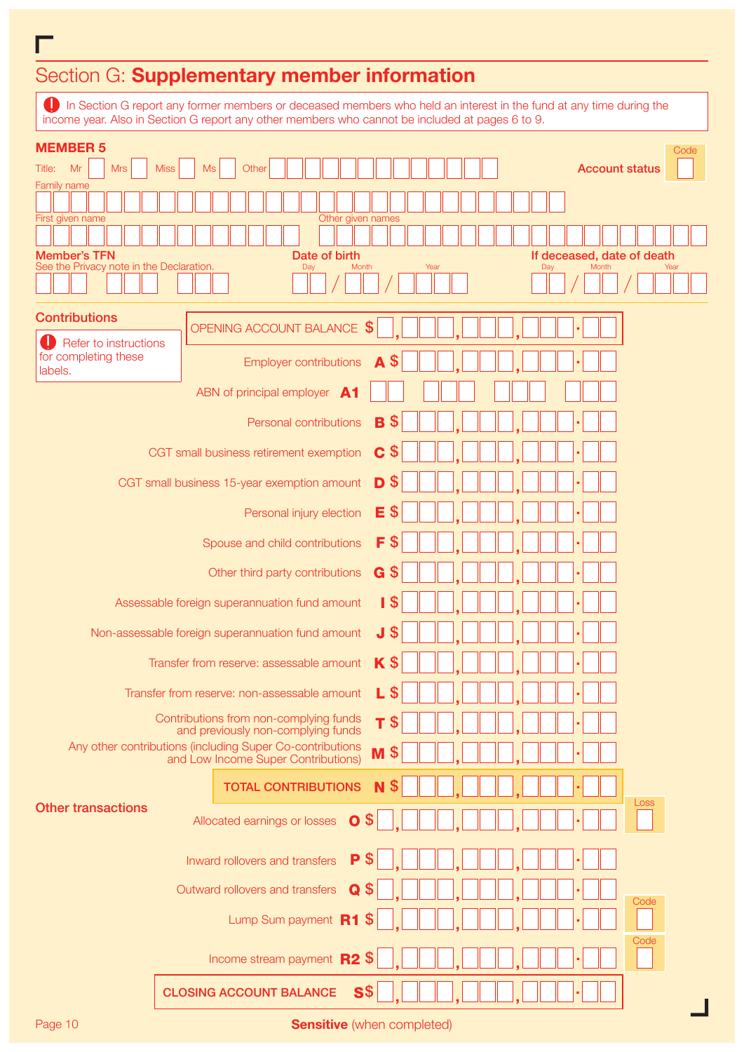# Section G: Supplementary member information

In Section G report any former members or deceased members who held an interest in the fund at any time during the income year. Also in Section G report any other members who cannot be included at pages 6 to 9.

| <b>MEMBER 5</b>                                           |                   |                                                   |                               |                                                |      |     | Code                       |
|-----------------------------------------------------------|-------------------|---------------------------------------------------|-------------------------------|------------------------------------------------|------|-----|----------------------------|
| <b>Mrs</b><br>Mr<br>Title:                                | <b>Miss</b><br>Ms | Other                                             |                               |                                                |      |     | <b>Account status</b>      |
| Family name                                               |                   |                                                   |                               |                                                |      |     |                            |
| First given name                                          |                   |                                                   | Other given names             |                                                |      |     |                            |
| <b>Member's TFN</b>                                       |                   |                                                   | Date of birth                 |                                                |      |     | If deceased, date of death |
| See the Privacy note in the Declaration.                  |                   |                                                   | Month<br>Day                  |                                                | Year | Day | Year<br>Month              |
| <b>Contributions</b>                                      |                   |                                                   |                               |                                                |      |     |                            |
| Refer to instructions                                     |                   | OPENING ACCOUNT BALANCE \$                        |                               |                                                |      |     |                            |
| for completing these<br>labels.                           |                   |                                                   | <b>Employer contributions</b> | \$<br>A                                        |      |     |                            |
|                                                           |                   | ABN of principal employer A1                      |                               |                                                |      |     |                            |
|                                                           |                   |                                                   | Personal contributions        | \$<br>B                                        |      |     |                            |
|                                                           |                   | CGT small business retirement exemption           |                               | C<br>\$                                        |      |     |                            |
|                                                           |                   | CGT small business 15-year exemption amount       |                               | D<br>\$                                        |      |     |                            |
|                                                           |                   |                                                   |                               |                                                |      |     |                            |
|                                                           |                   |                                                   | Personal injury election      | E<br>\$                                        |      |     |                            |
|                                                           |                   | Spouse and child contributions                    |                               | F<br>ზ                                         |      |     |                            |
|                                                           |                   | Other third party contributions                   |                               | G<br>\$                                        |      |     |                            |
|                                                           |                   | Assessable foreign superannuation fund amount     |                               | I \$                                           |      |     |                            |
|                                                           |                   | Non-assessable foreign superannuation fund amount |                               | J \$                                           |      |     |                            |
|                                                           |                   | Transfer from reserve: assessable amount          |                               | K<br>\$                                        |      |     |                            |
|                                                           |                   | Transfer from reserve: non-assessable amount      |                               | \$<br>L                                        |      |     |                            |
|                                                           |                   | Contributions from non-complying funds            |                               | T<br>S                                         |      |     |                            |
| Any other contributions (including Super Co-contributions |                   | and previously non-complying funds                |                               | M<br>S                                         |      |     |                            |
|                                                           |                   | and Low Income Super Contributions)               |                               |                                                |      |     |                            |
| <b>Other transactions</b>                                 |                   | <b>TOTAL CONTRIBUTIONS</b>                        |                               | S<br>N                                         |      |     | Loss                       |
|                                                           |                   | Allocated earnings or losses                      | $\mathbf{O}$ \$               |                                                |      |     |                            |
|                                                           |                   | Inward rollovers and transfers                    | P                             |                                                |      |     |                            |
|                                                           |                   | Outward rollovers and transfers                   | Q                             |                                                |      |     |                            |
|                                                           |                   | Lump Sum payment R1                               |                               | S                                              |      |     | Code                       |
|                                                           |                   |                                                   |                               |                                                |      |     | Code                       |
|                                                           |                   | Income stream payment $R2$ \$                     |                               |                                                |      |     |                            |
|                                                           |                   | <b>CLOSING ACCOUNT BALANCE</b>                    | $\mathbf{S}$                  |                                                |      |     |                            |
| $D_{0}$ an $10$                                           |                   |                                                   |                               | واللابس المراجعين وتراجي المراجي وبارتان وأراد |      |     |                            |

Г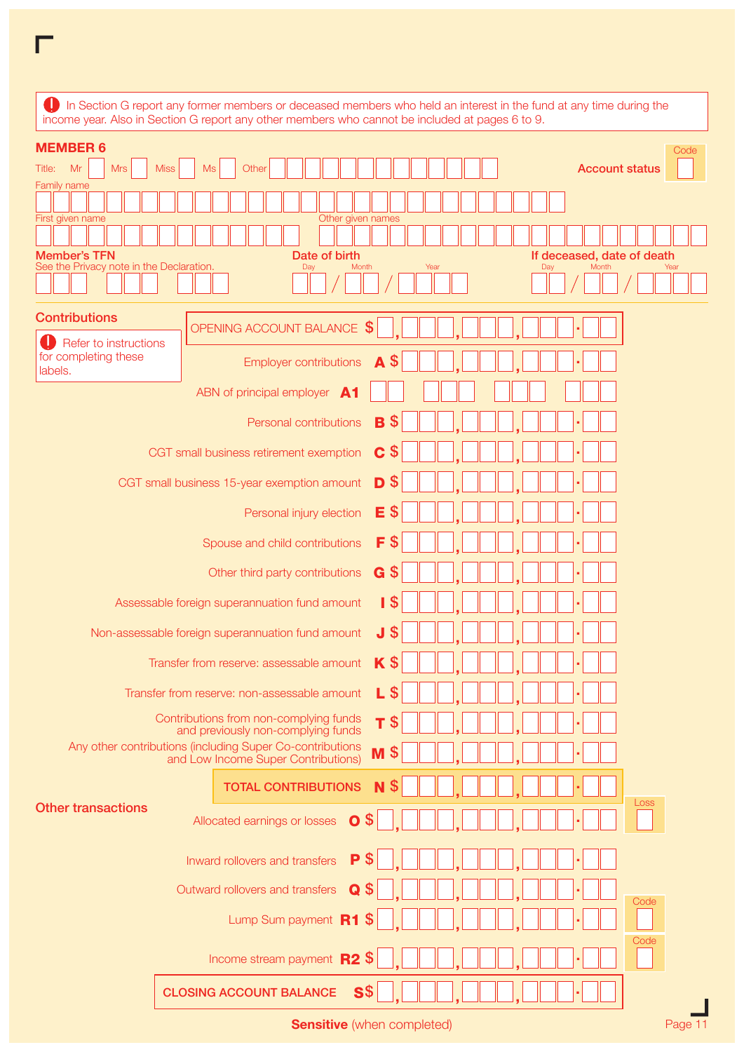| In Section G report any former members or deceased members who held an interest in the fund at any time during the<br>income year. Also in Section G report any other members who cannot be included at pages 6 to 9. |      |
|-----------------------------------------------------------------------------------------------------------------------------------------------------------------------------------------------------------------------|------|
| <b>MEMBER 6</b>                                                                                                                                                                                                       | Code |
| Mr<br><b>Mrs</b><br>Title:<br><b>Miss</b><br>Ms<br>Other<br><b>Account status</b>                                                                                                                                     |      |
| <b>Family name</b>                                                                                                                                                                                                    |      |
|                                                                                                                                                                                                                       |      |
| Other given names<br>First given name                                                                                                                                                                                 |      |
|                                                                                                                                                                                                                       |      |
| <b>Member's TFN</b><br>Date of birth<br>If deceased, date of death<br>See the Privacy note in the Declaration.<br>Month<br>Year<br>Month<br>Day<br>Day                                                                | Year |
|                                                                                                                                                                                                                       |      |
| <b>Contributions</b><br>\$<br>OPENING ACCOUNT BALANCE                                                                                                                                                                 |      |
| Refer to instructions<br>for completing these<br>\$<br>A<br><b>Employer contributions</b><br>labels.                                                                                                                  |      |
| ABN of principal employer A1                                                                                                                                                                                          |      |
| \$<br>Personal contributions<br>B                                                                                                                                                                                     |      |
| \$<br>C<br>CGT small business retirement exemption                                                                                                                                                                    |      |
| \$<br>D<br>CGT small business 15-year exemption amount                                                                                                                                                                |      |
| $\boldsymbol{\mathsf{S}}$<br>Е<br>Personal injury election                                                                                                                                                            |      |
| $\boldsymbol{\mathsf{S}}$<br>F<br>Spouse and child contributions                                                                                                                                                      |      |
| $\boldsymbol{\mathsf{S}}$<br>G<br>Other third party contributions                                                                                                                                                     |      |
| 1 <sup>5</sup><br>Assessable foreign superannuation fund amount                                                                                                                                                       |      |
| $\boldsymbol{\mathsf{S}}$<br>J<br>Non-assessable foreign superannuation fund amount                                                                                                                                   |      |
| $\boldsymbol{\mathsf{S}}$<br>K<br>Transfer from reserve: assessable amount                                                                                                                                            |      |
| S<br>L<br>Transfer from reserve: non-assessable amount                                                                                                                                                                |      |
| Contributions from non-complying funds<br>$\boldsymbol{\mathsf{S}}$<br>Τ<br>and previously non-complying funds                                                                                                        |      |
| Any other contributions (including Super Co-contributions<br>S<br>M<br>and Low Income Super Contributions)                                                                                                            |      |
| <b>TOTAL CONTRIBUTIONS</b><br>N                                                                                                                                                                                       | Loss |
| <b>Other transactions</b><br>$\overline{O}$ \$<br>Allocated earnings or losses                                                                                                                                        |      |
| P<br>Inward rollovers and transfers                                                                                                                                                                                   |      |
| Outward rollovers and transfers<br>Q                                                                                                                                                                                  | Code |
| Lump Sum payment R1                                                                                                                                                                                                   |      |
| Income stream payment R2<br><b>S</b>                                                                                                                                                                                  | Code |
| S <sub>3</sub><br><b>CLOSING ACCOUNT BALANCE</b>                                                                                                                                                                      |      |

Sensitive (when completed) example the example of the example of the example of the example of the example of the example of the example of the example of the example of the example of the example of the example of the exa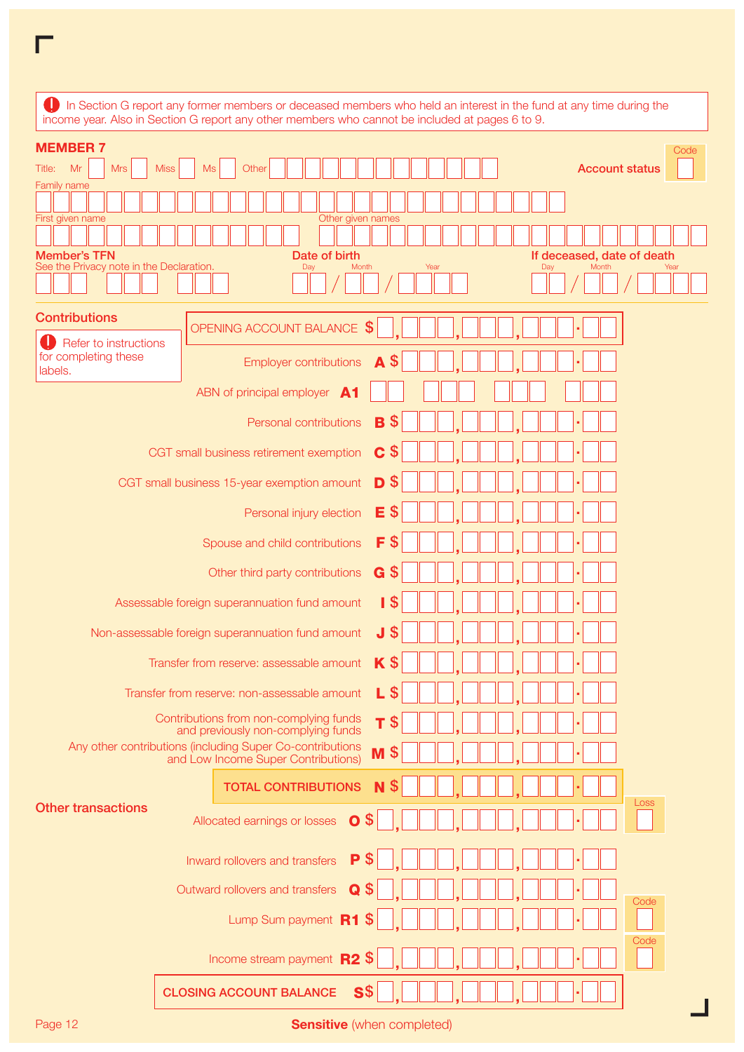| <b>MEMBER 7</b><br>Mr<br><b>Mrs</b><br><b>Miss</b><br><b>Ms</b><br>Other<br><b>Account status</b><br>Title:<br>Family name                                                                                      | Code |
|-----------------------------------------------------------------------------------------------------------------------------------------------------------------------------------------------------------------|------|
| First given name<br>Other given names<br><b>Member's TFN</b><br>Date of birth<br>If deceased, date of death                                                                                                     |      |
| See the Privacy note in the Declaration.<br>Month<br>Year<br>Day<br>Month<br>Day<br>Year                                                                                                                        |      |
| <b>Contributions</b><br>OPENING ACCOUNT BALANCE \$<br>Refer to instructions                                                                                                                                     |      |
| for completing these<br>$\mathbf{\$}$<br><b>Employer contributions</b><br>A<br>labels.                                                                                                                          |      |
| ABN of principal employer A1<br><b>S</b><br>B<br>Personal contributions                                                                                                                                         |      |
| C<br>CGT small business retirement exemption<br>5                                                                                                                                                               |      |
| D<br>CGT small business 15-year exemption amount<br>5                                                                                                                                                           |      |
| Е<br>Personal injury election<br>-5                                                                                                                                                                             |      |
| F<br>-5<br>Spouse and child contributions<br>G <sub>5</sub><br>Other third party contributions                                                                                                                  |      |
| <b>IS</b><br>Assessable foreign superannuation fund amount                                                                                                                                                      |      |
| J \$<br>Non-assessable foreign superannuation fund amount                                                                                                                                                       |      |
| <b>K</b> \$<br>Transfer from reserve: assessable amount<br>L<br>-S<br>Transfer from reserve: non-assessable amount                                                                                              |      |
| Contributions from non-complying funds<br>т<br>- \$<br>and previously non-complying funds<br>Any other contributions (including Super Co-contributions<br>M <sup>3</sup><br>and Low Income Super Contributions) |      |
| \$<br><b>TOTAL CONTRIBUTIONS</b><br>N                                                                                                                                                                           |      |
| Loss<br><b>Other transactions</b><br>$\mathbf{O}$ \$<br>Allocated earnings or losses                                                                                                                            |      |
| S<br>P<br>Inward rollovers and transfers                                                                                                                                                                        |      |
| Outward rollovers and transfers<br>Q<br>Code                                                                                                                                                                    |      |
| Lump Sum payment R1<br>Code                                                                                                                                                                                     |      |
| Income stream payment R2 \$                                                                                                                                                                                     |      |

Page 12 Sensitive (when completed)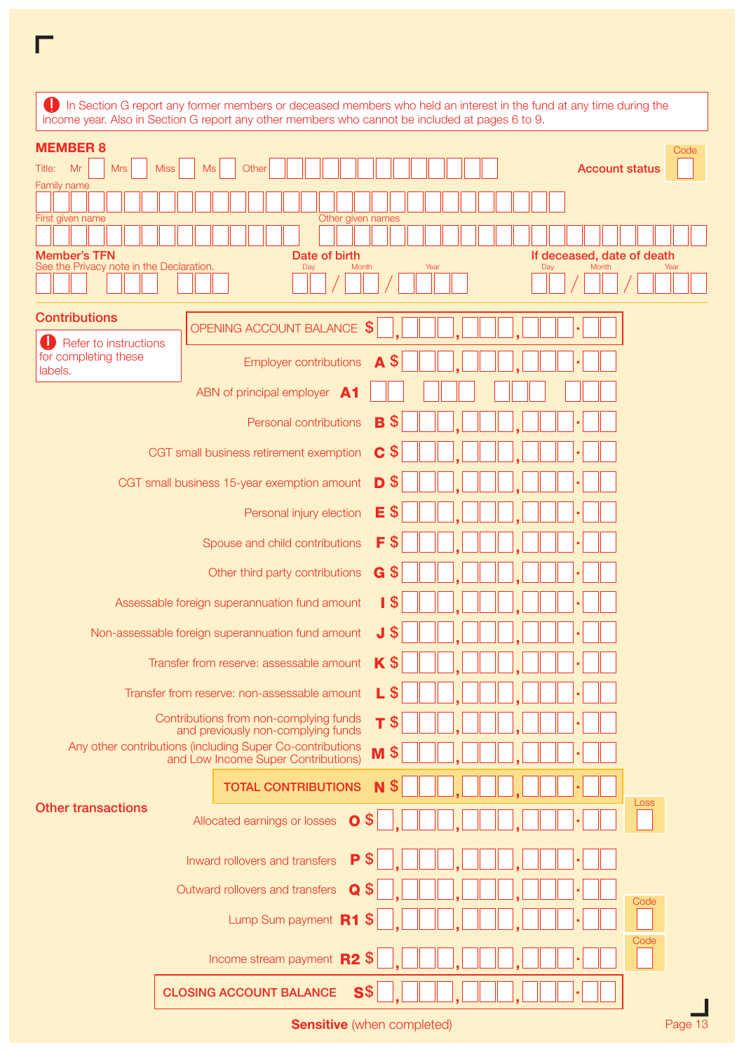|                                                                 | In Section G report any former members or deceased members who held an interest in the fund at any time during the<br>income year. Also in Section G report any other members who cannot be included at pages 6 to 9. |  |
|-----------------------------------------------------------------|-----------------------------------------------------------------------------------------------------------------------------------------------------------------------------------------------------------------------|--|
| <b>MEMBER 8</b>                                                 | Code                                                                                                                                                                                                                  |  |
| Mr<br><b>Mrs</b><br>Title:                                      | <b>Miss</b><br>Ms<br>Other<br><b>Account status</b>                                                                                                                                                                   |  |
| <b>Family name</b>                                              |                                                                                                                                                                                                                       |  |
|                                                                 |                                                                                                                                                                                                                       |  |
| First given name                                                | Other given names                                                                                                                                                                                                     |  |
|                                                                 |                                                                                                                                                                                                                       |  |
| <b>Member's TFN</b><br>See the Privacy note in the Declaration. | Date of birth<br>If deceased, date of death<br>Month<br>Year<br>Month<br>Day<br>Day<br>Year                                                                                                                           |  |
|                                                                 |                                                                                                                                                                                                                       |  |
| <b>Contributions</b>                                            | \$<br>OPENING ACCOUNT BALANCE                                                                                                                                                                                         |  |
| Refer to instructions<br>for completing these                   | \$<br>A<br><b>Employer contributions</b>                                                                                                                                                                              |  |
| labels.                                                         | ABN of principal employer A1                                                                                                                                                                                          |  |
|                                                                 | \$<br>Personal contributions<br>B                                                                                                                                                                                     |  |
|                                                                 | \$<br>C<br>CGT small business retirement exemption                                                                                                                                                                    |  |
|                                                                 | \$<br>D<br>CGT small business 15-year exemption amount                                                                                                                                                                |  |
|                                                                 | $\boldsymbol{\mathsf{S}}$<br>Е<br>Personal injury election                                                                                                                                                            |  |
|                                                                 | $\boldsymbol{\mathsf{S}}$<br>F<br>Spouse and child contributions                                                                                                                                                      |  |
|                                                                 | $\boldsymbol{\mathsf{S}}$<br>G<br>Other third party contributions                                                                                                                                                     |  |
|                                                                 | 1 <sup>5</sup><br>Assessable foreign superannuation fund amount                                                                                                                                                       |  |
|                                                                 | $\boldsymbol{\mathsf{S}}$<br>J<br>Non-assessable foreign superannuation fund amount                                                                                                                                   |  |
|                                                                 | $\mathbf{\hat{S}}$<br>K<br>Transfer from reserve: assessable amount                                                                                                                                                   |  |
|                                                                 | S<br>L<br>Transfer from reserve: non-assessable amount<br>Contributions from non-complying funds<br>$\boldsymbol{\mathsf{S}}$<br>Τ                                                                                    |  |
|                                                                 | and previously non-complying funds                                                                                                                                                                                    |  |
|                                                                 | Any other contributions (including Super Co-contributions<br>S<br>M<br>and Low Income Super Contributions)                                                                                                            |  |
|                                                                 | <b>TOTAL CONTRIBUTIONS</b><br>N<br>Loss                                                                                                                                                                               |  |
| <b>Other transactions</b>                                       | $\overline{O}$ \$<br>Allocated earnings or losses                                                                                                                                                                     |  |
|                                                                 | P<br>Inward rollovers and transfers                                                                                                                                                                                   |  |
|                                                                 | Outward rollovers and transfers<br>Q<br>Code                                                                                                                                                                          |  |
|                                                                 | Lump Sum payment R1<br>æ                                                                                                                                                                                              |  |
|                                                                 | Code<br>Income stream payment R2<br><b>S</b>                                                                                                                                                                          |  |
|                                                                 | S <sub>3</sub><br><b>CLOSING ACCOUNT BALANCE</b>                                                                                                                                                                      |  |

Sensitive (when completed) example the example of the example of the example of the example of the example of the example of the example of the example of the example of the example of the example of the example of the exa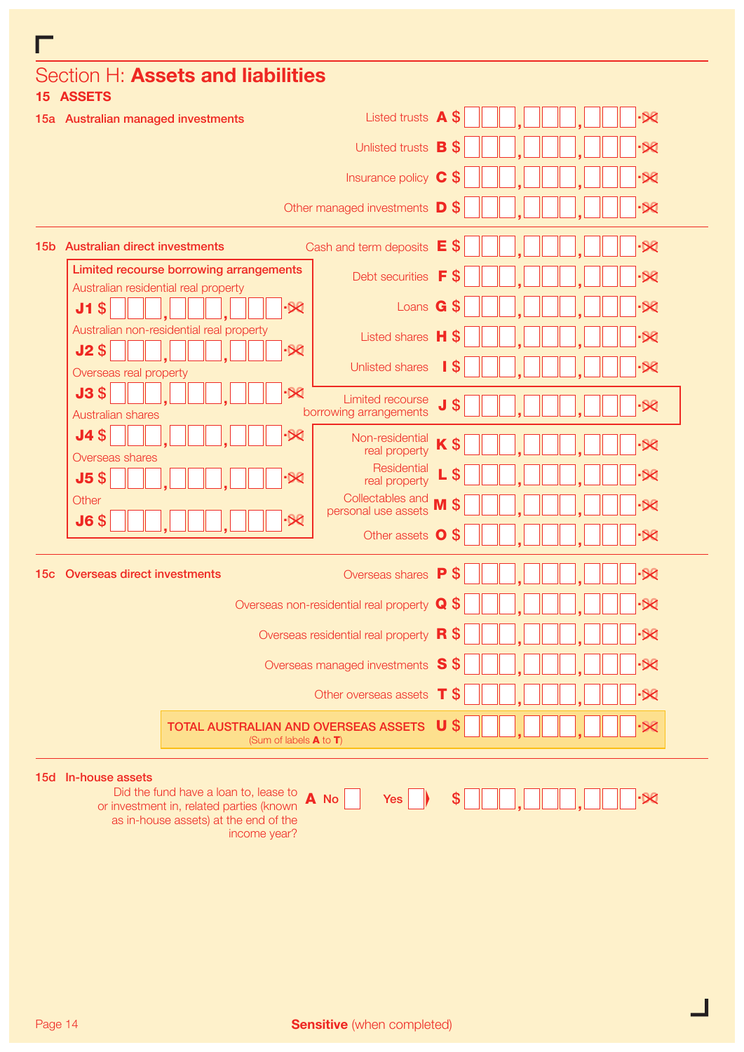| Section H: Assets and liabilities<br>15 ASSETS                                                                                                                    |                                                                     |        |  |                          |
|-------------------------------------------------------------------------------------------------------------------------------------------------------------------|---------------------------------------------------------------------|--------|--|--------------------------|
| 15a Australian managed investments                                                                                                                                | Listed trusts A                                                     | \$     |  | $\cdot$ $\otimes$        |
|                                                                                                                                                                   | Unlisted trusts <b>B</b>                                            | \$     |  | $-80$                    |
|                                                                                                                                                                   | Insurance policy C                                                  | \$     |  | $-80$                    |
|                                                                                                                                                                   | Other managed investments D                                         | \$     |  | $\overline{\mathcal{R}}$ |
| 15b Australian direct investments                                                                                                                                 | Cash and term deposits $E$                                          | S      |  | $\cdot$ $\otimes$        |
| Limited recourse borrowing arrangements<br>Australian residential real property                                                                                   | Debt securities                                                     | F<br>S |  | ۰Œ                       |
| J1 <sub>5</sub><br>$\cdot$ X                                                                                                                                      | Loans <b>G</b>                                                      | S      |  | ۰Œ                       |
| Australian non-residential real property<br>$\cdot$ $\otimes$                                                                                                     | Listed shares H                                                     |        |  | ۰Œ                       |
| $J2\$<br>Overseas real property                                                                                                                                   | <b>Unlisted shares</b>                                              | S      |  | .X                       |
| $\cdot$ $\otimes$<br>J3 <sub>5</sub><br><b>Australian shares</b>                                                                                                  | <b>Limited recourse</b><br>borrowing arrangements                   | J<br>S |  | $-50$                    |
| J4 <sub>5</sub><br>·X                                                                                                                                             | Non-residential<br>real property                                    |        |  | $-80$                    |
| Overseas shares<br>$J5$ \$<br>·X                                                                                                                                  | Residential<br>real property                                        |        |  | $-88$                    |
| Other                                                                                                                                                             | Collectables and<br>personal use assets                             | M      |  | -50                      |
| $-88$<br>J6 <sub>5</sub>                                                                                                                                          | Other assets O                                                      | \$     |  | $\cdot$ $\otimes$        |
| <b>Overseas direct investments</b><br>15с                                                                                                                         | Overseas shares P                                                   | \$     |  | $-80$                    |
|                                                                                                                                                                   | Overseas non-residential real property Q                            | S      |  | ·X                       |
|                                                                                                                                                                   | Overseas residential real property R                                | S      |  | .X                       |
|                                                                                                                                                                   | Overseas managed investments S \$                                   |        |  |                          |
|                                                                                                                                                                   | Other overseas assets T \$                                          |        |  | $-80$                    |
|                                                                                                                                                                   | TOTAL AUSTRALIAN AND OVERSEAS ASSETS<br>(Sum of labels $A$ to $T$ ) | $U$ \$ |  | ·X                       |
| 15d In-house assets<br>Did the fund have a loan to, lease to<br>or investment in, related parties (known<br>as in-house assets) at the end of the<br>income year? | $A$ No<br>Yes                                                       |        |  |                          |

 $\blacksquare$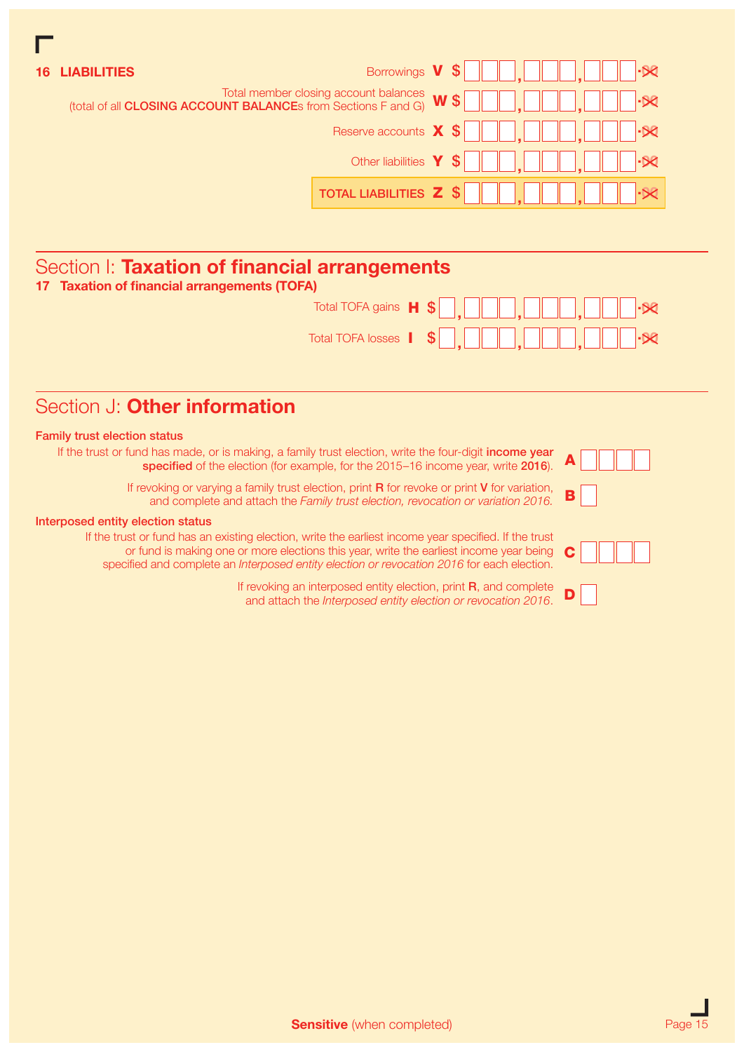| <b>LIABILITIES</b>                                                                                     | Borrowings <b>V</b> \$           |               |
|--------------------------------------------------------------------------------------------------------|----------------------------------|---------------|
| Total member closing account balances<br>(total of all CLOSING ACCOUNT BALANCEs from Sections F and G) |                                  | $W$ \$<br>R   |
|                                                                                                        | Reserve accounts $\mathbf{X}$ \$ | $\cdot \Join$ |
|                                                                                                        | Other liabilities $Y \$          |               |
|                                                                                                        | TOTAL LIABILITIES <b>Z</b> \$    |               |
|                                                                                                        |                                  |               |

# Section I: Taxation of financial arrangements

|  |  |  | 17 Taxation of financial arrangements (TOFA) |  |
|--|--|--|----------------------------------------------|--|
|--|--|--|----------------------------------------------|--|

|  | Total TOFA gains $\mathbf{H}$ $\mathbf{\$}\_$ |  |
|--|-----------------------------------------------|--|
|  |                                               |  |

## Section J: Other information

### Family trust election status

If the trust or fund has made, or is making, a family trust election, write the four-digit income year specified of the election (for example, for the 2015–16 income year, write 2016).

> If revoking or varying a family trust election, print  $R$  for revoke or print  $V$  for variation, and complete and attach the *Family trust election, revocation or variation 2016.*

#### Interposed entity election status

If the trust or fund has an existing election, write the earliest income year specified. If the trust or fund is making one or more elections this year, write the earliest income year being specified and complete an *Interposed entity election or revocation 2016* for each election. C

> If revoking an interposed entity election, print R, and complete and attach the *Interposed entity election or revocation 2016*.